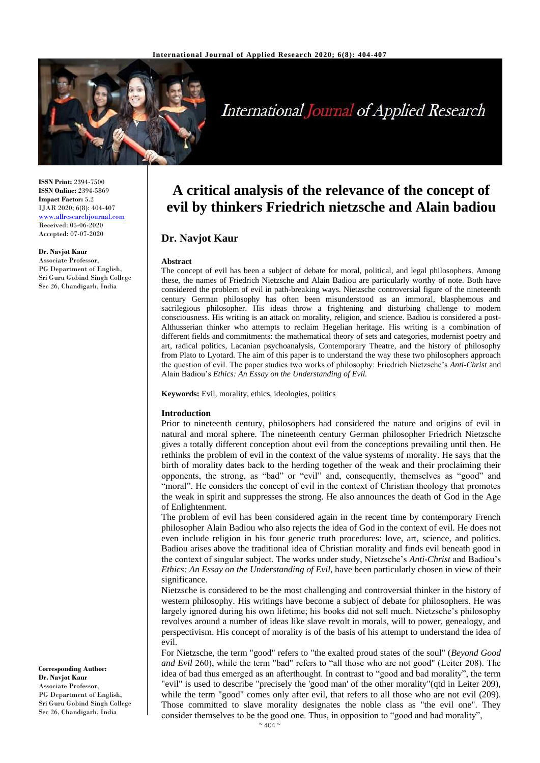

# International Journal of Applied Research

**ISSN Print:** 2394-7500 **ISSN Online:** 2394-5869 **Impact Factor:** 5.2 IJAR 2020; 6(8): 404-407 <www.allresearchjournal.com> Received: 05-06-2020 Accepted: 07-07-2020

### **Dr. Navjot Kaur**

Associate Professor, PG Department of English, Sri Guru Gobind Singh College Sec 26, Chandigarh, India

**A critical analysis of the relevance of the concept of evil by thinkers Friedrich nietzsche and Alain badiou**

# **Dr. Navjot Kaur**

#### **Abstract**

The concept of evil has been a subject of debate for moral, political, and legal philosophers. Among these, the names of Friedrich Nietzsche and Alain Badiou are particularly worthy of note. Both have considered the problem of evil in path-breaking ways. Nietzsche controversial figure of the nineteenth century German philosophy has often been misunderstood as an immoral, blasphemous and sacrilegious philosopher. His ideas throw a frightening and disturbing challenge to modern consciousness. His writing is an attack on morality, religion, and science. Badiou is considered a post-Althusserian thinker who attempts to reclaim Hegelian heritage. His writing is a combination of different fields and commitments: the mathematical theory of sets and categories, modernist poetry and art, radical politics, Lacanian psychoanalysis, Contemporary Theatre, and the history of philosophy from Plato to Lyotard. The aim of this paper is to understand the way these two philosophers approach the question of evil. The paper studies two works of philosophy: Friedrich Nietzsche's *Anti-Christ* and Alain Badiou's *Ethics: An Essay on the Understanding of Evil.*

**Keywords:** Evil, morality, ethics, ideologies, politics

#### **Introduction**

Prior to nineteenth century, philosophers had considered the nature and origins of evil in natural and moral sphere. The nineteenth century German philosopher Friedrich Nietzsche gives a totally different conception about evil from the conceptions prevailing until then. He rethinks the problem of evil in the context of the value systems of morality. He says that the birth of morality dates back to the herding together of the weak and their proclaiming their opponents, the strong, as "bad" or "evil" and, consequently, themselves as "good" and "moral". He considers the concept of evil in the context of Christian theology that promotes the weak in spirit and suppresses the strong. He also announces the death of God in the Age of Enlightenment.

The problem of evil has been considered again in the recent time by contemporary French philosopher Alain Badiou who also rejects the idea of God in the context of evil. He does not even include religion in his four generic truth procedures: love, art, science, and politics. Badiou arises above the traditional idea of Christian morality and finds evil beneath good in the context of singular subject. The works under study, Nietzsche's *Anti-Christ* and Badiou's *Ethics: An Essay on the Understanding of Evil*, have been particularly chosen in view of their significance.

Nietzsche is considered to be the most challenging and controversial thinker in the history of western philosophy. His writings have become a subject of debate for philosophers. He was largely ignored during his own lifetime; his books did not sell much. Nietzsche's philosophy revolves around a number of ideas like slave revolt in morals, will to power, genealogy, and perspectivism. His concept of morality is of the basis of his attempt to understand the idea of evil.

For Nietzsche, the term "good" refers to "the exalted proud states of the soul" (*Beyond Good and Evil* 260), while the term "bad" refers to "all those who are not good" (Leiter 208). The idea of bad thus emerged as an afterthought. In contrast to "good and bad morality", the term "evil" is used to describe "precisely the 'good man' of the other morality"(qtd in Leiter 209), while the term "good" comes only after evil, that refers to all those who are not evil (209). Those committed to slave morality designates the noble class as "the evil one". They consider themselves to be the good one. Thus, in opposition to "good and bad morality",

**Corresponding Author: Dr. Navjot Kaur** Associate Professor, PG Department of English, Sri Guru Gobind Singh College Sec 26, Chandigarh, India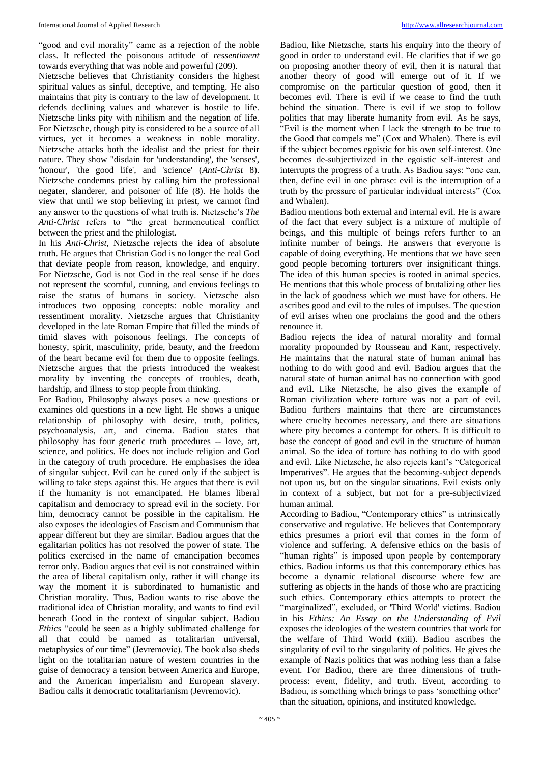#### International Journal of Applied Research [http://www.allresearchjournal.com](http://www.allresearchjournal.com/)

"good and evil morality" came as a rejection of the noble class. It reflected the poisonous attitude of *ressentiment*  towards everything that was noble and powerful (209).

Nietzsche believes that Christianity considers the highest spiritual values as sinful, deceptive, and tempting. He also maintains that pity is contrary to the law of development. It defends declining values and whatever is hostile to life. Nietzsche links pity with nihilism and the negation of life. For Nietzsche, though pity is considered to be a source of all virtues, yet it becomes a weakness in noble morality. Nietzsche attacks both the idealist and the priest for their nature. They show "disdain for 'understanding', the 'senses', 'honour', 'the good life', and 'science' (*Anti-Christ* 8). Nietzsche condemns priest by calling him the professional negater, slanderer, and poisoner of life (8). He holds the view that until we stop believing in priest, we cannot find any answer to the questions of what truth is. Nietzsche's *The Anti-Christ* refers to "the great hermeneutical conflict between the priest and the philologist.

In his *Anti-Christ,* Nietzsche rejects the idea of absolute truth. He argues that Christian God is no longer the real God that deviate people from reason, knowledge, and enquiry. For Nietzsche, God is not God in the real sense if he does not represent the scornful, cunning, and envious feelings to raise the status of humans in society. Nietzsche also introduces two opposing concepts: noble morality and ressentiment morality. Nietzsche argues that Christianity developed in the late Roman Empire that filled the minds of timid slaves with poisonous feelings. The concepts of honesty, spirit, masculinity, pride, beauty, and the freedom of the heart became evil for them due to opposite feelings. Nietzsche argues that the priests introduced the weakest morality by inventing the concepts of troubles, death, hardship, and illness to stop people from thinking.

For Badiou, Philosophy always poses a new questions or examines old questions in a new light. He shows a unique relationship of philosophy with desire, truth, politics, psychoanalysis, art, and cinema. Badiou states that philosophy has four generic truth procedures -- love, art, science, and politics. He does not include religion and God in the category of truth procedure. He emphasises the idea of singular subject. Evil can be cured only if the subject is willing to take steps against this. He argues that there is evil if the humanity is not emancipated. He blames liberal capitalism and democracy to spread evil in the society. For him, democracy cannot be possible in the capitalism. He also exposes the ideologies of Fascism and Communism that appear different but they are similar. Badiou argues that the egalitarian politics has not resolved the power of state. The politics exercised in the name of emancipation becomes terror only. Badiou argues that evil is not constrained within the area of liberal capitalism only, rather it will change its way the moment it is subordinated to humanistic and Christian morality. Thus, Badiou wants to rise above the traditional idea of Christian morality, and wants to find evil beneath Good in the context of singular subject. Badiou *Ethics* "could be seen as a highly sublimated challenge for all that could be named as totalitarian universal, metaphysics of our time" (Jevremovic). The book also sheds light on the totalitarian nature of western countries in the guise of democracy a tension between America and Europe, and the American imperialism and European slavery. Badiou calls it democratic totalitarianism (Jevremovic).

Badiou, like Nietzsche, starts his enquiry into the theory of good in order to understand evil. He clarifies that if we go on proposing another theory of evil, then it is natural that another theory of good will emerge out of it. If we compromise on the particular question of good, then it becomes evil. There is evil if we cease to find the truth behind the situation. There is evil if we stop to follow politics that may liberate humanity from evil. As he says, "Evil is the moment when I lack the strength to be true to the Good that compels me" (Cox and Whalen). There is evil if the subject becomes egoistic for his own self-interest. One becomes de-subjectivized in the egoistic self-interest and interrupts the progress of a truth. As Badiou says: "one can, then, define evil in one phrase: evil is the interruption of a truth by the pressure of particular individual interests" (Cox and Whalen).

Badiou mentions both external and internal evil. He is aware of the fact that every subject is a mixture of multiple of beings, and this multiple of beings refers further to an infinite number of beings. He answers that everyone is capable of doing everything. He mentions that we have seen good people becoming torturers over insignificant things. The idea of this human species is rooted in animal species. He mentions that this whole process of brutalizing other lies in the lack of goodness which we must have for others. He ascribes good and evil to the rules of impulses. The question of evil arises when one proclaims the good and the others renounce it.

Badiou rejects the idea of natural morality and formal morality propounded by Rousseau and Kant, respectively. He maintains that the natural state of human animal has nothing to do with good and evil. Badiou argues that the natural state of human animal has no connection with good and evil. Like Nietzsche, he also gives the example of Roman civilization where torture was not a part of evil. Badiou furthers maintains that there are circumstances where cruelty becomes necessary, and there are situations where pity becomes a contempt for others. It is difficult to base the concept of good and evil in the structure of human animal. So the idea of torture has nothing to do with good and evil. Like Nietzsche, he also rejects kant's "Categorical Imperatives". He argues that the becoming-subject depends not upon us, but on the singular situations. Evil exists only in context of a subject, but not for a pre-subjectivized human animal.

According to Badiou, "Contemporary ethics" is intrinsically conservative and regulative. He believes that Contemporary ethics presumes a priori evil that comes in the form of violence and suffering. A defensive ethics on the basis of "human rights" is imposed upon people by contemporary ethics. Badiou informs us that this contemporary ethics has become a dynamic relational discourse where few are suffering as objects in the hands of those who are practicing such ethics. Contemporary ethics attempts to protect the "marginalized", excluded, or 'Third World' victims. Badiou in his *Ethics: An Essay on the Understanding of Evil*  exposes the ideologies of the western countries that work for the welfare of Third World (xiii). Badiou ascribes the singularity of evil to the singularity of politics. He gives the example of Nazis politics that was nothing less than a false event. For Badiou, there are three dimensions of truthprocess: event, fidelity, and truth. Event, according to Badiou, is something which brings to pass 'something other' than the situation, opinions, and instituted knowledge.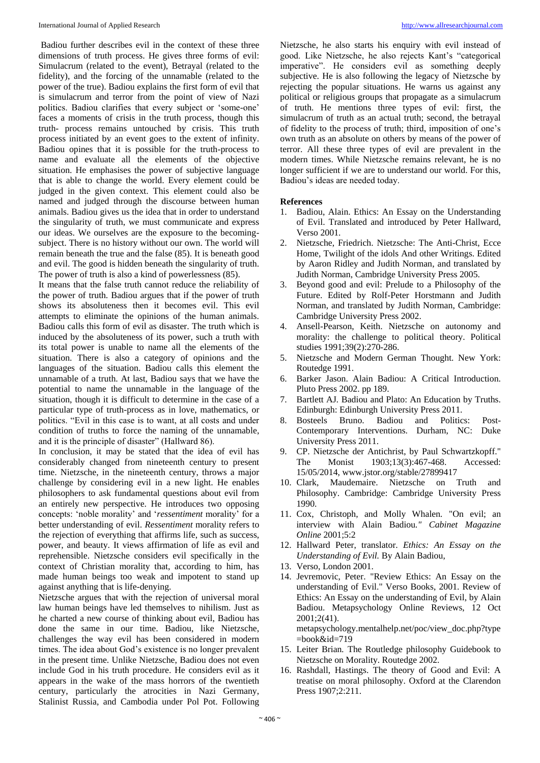Badiou further describes evil in the context of these three dimensions of truth process. He gives three forms of evil: Simulacrum (related to the event), Betrayal (related to the fidelity), and the forcing of the unnamable (related to the power of the true). Badiou explains the first form of evil that is simulacrum and terror from the point of view of Nazi politics. Badiou clarifies that every subject or 'some-one' faces a moments of crisis in the truth process, though this truth- process remains untouched by crisis. This truth process initiated by an event goes to the extent of infinity. Badiou opines that it is possible for the truth-process to name and evaluate all the elements of the objective situation. He emphasises the power of subjective language that is able to change the world. Every element could be judged in the given context. This element could also be named and judged through the discourse between human animals. Badiou gives us the idea that in order to understand the singularity of truth, we must communicate and express our ideas. We ourselves are the exposure to the becomingsubject. There is no history without our own. The world will remain beneath the true and the false (85). It is beneath good and evil. The good is hidden beneath the singularity of truth. The power of truth is also a kind of powerlessness (85).

It means that the false truth cannot reduce the reliability of the power of truth. Badiou argues that if the power of truth shows its absoluteness then it becomes evil. This evil attempts to eliminate the opinions of the human animals. Badiou calls this form of evil as disaster. The truth which is induced by the absoluteness of its power, such a truth with its total power is unable to name all the elements of the situation. There is also a category of opinions and the languages of the situation. Badiou calls this element the unnamable of a truth. At last, Badiou says that we have the potential to name the unnamable in the language of the situation, though it is difficult to determine in the case of a particular type of truth-process as in love, mathematics, or politics. "Evil in this case is to want, at all costs and under condition of truths to force the naming of the unnamable, and it is the principle of disaster" (Hallward 86).

In conclusion, it may be stated that the idea of evil has considerably changed from nineteenth century to present time. Nietzsche, in the nineteenth century, throws a major challenge by considering evil in a new light. He enables philosophers to ask fundamental questions about evil from an entirely new perspective. He introduces two opposing concepts: 'noble morality' and '*ressentiment* morality' for a better understanding of evil. *Ressentiment* morality refers to the rejection of everything that affirms life, such as success, power, and beauty. It views affirmation of life as evil and reprehensible. Nietzsche considers evil specifically in the context of Christian morality that, according to him, has made human beings too weak and impotent to stand up against anything that is life-denying.

Nietzsche argues that with the rejection of universal moral law human beings have led themselves to nihilism. Just as he charted a new course of thinking about evil, Badiou has done the same in our time. Badiou, like Nietzsche, challenges the way evil has been considered in modern times. The idea about God's existence is no longer prevalent in the present time. Unlike Nietzsche, Badiou does not even include God in his truth procedure. He considers evil as it appears in the wake of the mass horrors of the twentieth century, particularly the atrocities in Nazi Germany, Stalinist Russia, and Cambodia under Pol Pot. Following

Nietzsche, he also starts his enquiry with evil instead of good. Like Nietzsche, he also rejects Kant's "categorical imperative". He considers evil as something deeply subjective. He is also following the legacy of Nietzsche by rejecting the popular situations. He warns us against any political or religious groups that propagate as a simulacrum of truth. He mentions three types of evil: first, the simulacrum of truth as an actual truth; second, the betrayal of fidelity to the process of truth; third, imposition of one's own truth as an absolute on others by means of the power of terror. All these three types of evil are prevalent in the modern times. While Nietzsche remains relevant, he is no longer sufficient if we are to understand our world. For this, Badiou's ideas are needed today.

## **References**

- 1. Badiou, Alain. Ethics: An Essay on the Understanding of Evil. Translated and introduced by Peter Hallward, Verso 2001.
- 2. Nietzsche, Friedrich. Nietzsche: The Anti-Christ, Ecce Home, Twilight of the idols And other Writings. Edited by Aaron Ridley and Judith Norman, and translated by Judith Norman, Cambridge University Press 2005.
- 3. Beyond good and evil: Prelude to a Philosophy of the Future. Edited by Rolf-Peter Horstmann and Judith Norman, and translated by Judith Norman, Cambridge: Cambridge University Press 2002.
- 4. Ansell-Pearson, Keith. Nietzsche on autonomy and morality: the challenge to political theory. Political studies 1991;39(2):270-286.
- 5. Nietzsche and Modern German Thought. New York: Routedge 1991.
- 6. Barker Jason. Alain Badiou: A Critical Introduction. Pluto Press 2002. pp 189.
- 7. Bartlett AJ*.* Badiou and Plato: An Education by Truths. Edinburgh: Edinburgh University Press 2011.
- 8. Bosteels Bruno. Badiou and Politics: Post-Contemporary Interventions. Durham, NC: Duke University Press 2011.
- 9. CP. Nietzsche der Antichrist, by Paul Schwartzkopff." The Monist 1903;13(3):467-468. Accessed: 15/05/2014, www.jstor.org/stable/27899417
- 10. Clark, Maudemaire. Nietzsche on Truth and Philosophy. Cambridge: Cambridge University Press 1990.
- 11. Cox, Christoph, and Molly Whalen*.* "On evil; an interview with Alain Badiou*." Cabinet Magazine Online* 2001;5:2
- 12. Hallward Peter, translator. *Ethics: An Essay on the Understanding of Evil.* By Alain Badiou,
- 13. Verso, London 2001.
- 14. Jevremovic, Peter. "Review Ethics: An Essay on the understanding of Evil." Verso Books, 2001. Review of Ethics: An Essay on the understanding of Evil, by Alain Badiou. Metapsychology Online Reviews, 12 Oct 2001;2(41). metapsychology.mentalhelp.net/poc/view\_doc.php?type

 $=$ book&id=719

- 15. Leiter Brian*.* The Routledge philosophy Guidebook to Nietzsche on Morality. Routedge 2002.
- 16. Rashdall, Hastings. The theory of Good and Evil: A treatise on moral philosophy. Oxford at the Clarendon Press 1907;2:211.